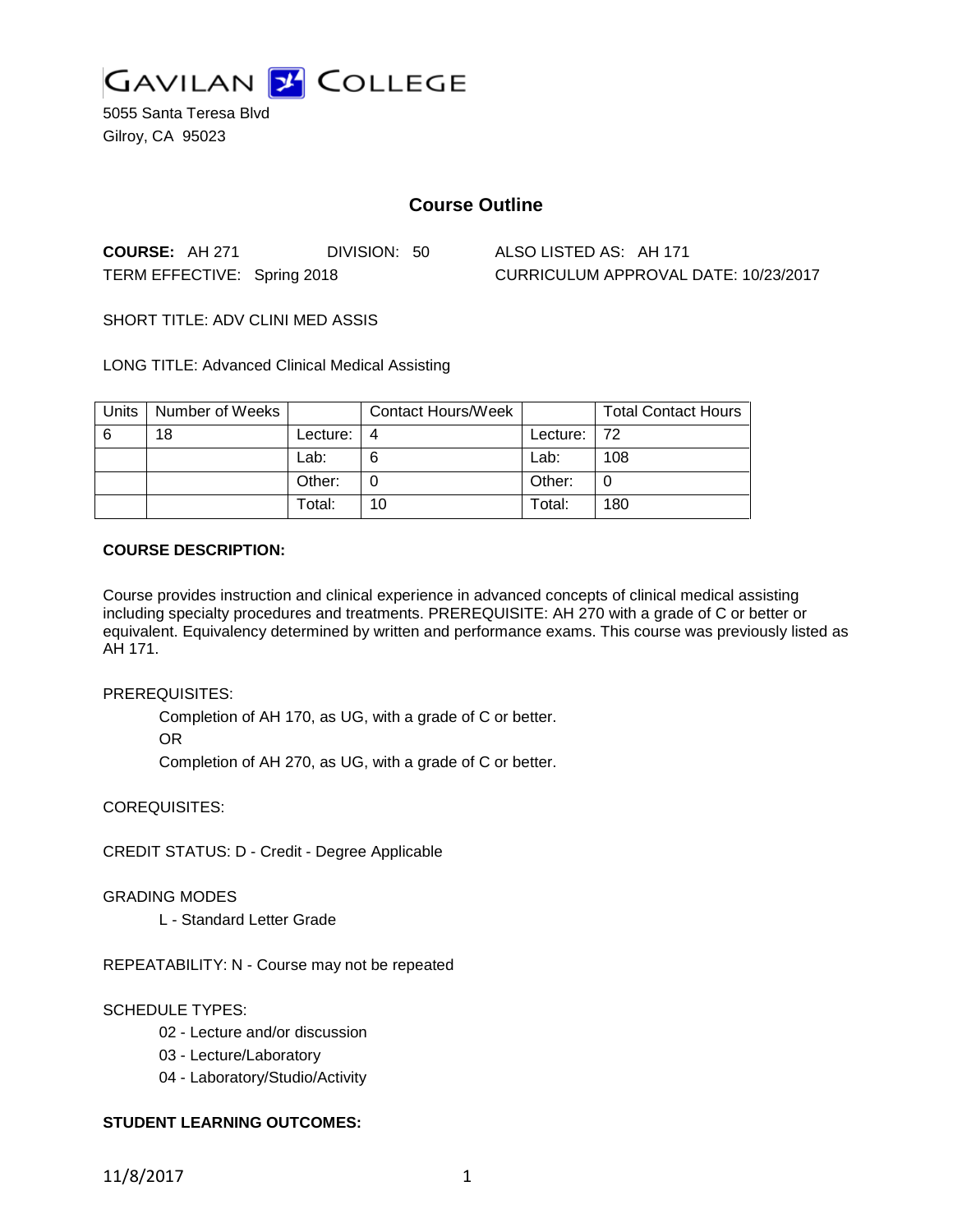

5055 Santa Teresa Blvd Gilroy, CA 95023

# **Course Outline**

**COURSE:** AH 271 DIVISION: 50 ALSO LISTED AS: AH 171

TERM EFFECTIVE: Spring 2018 CURRICULUM APPROVAL DATE: 10/23/2017

SHORT TITLE: ADV CLINI MED ASSIS

LONG TITLE: Advanced Clinical Medical Assisting

| Units | Number of Weeks |          | Contact Hours/Week |                | <b>Total Contact Hours</b> |
|-------|-----------------|----------|--------------------|----------------|----------------------------|
| -6    | 18              | Lecture: | 4                  | Lecture: $ 72$ |                            |
|       |                 | Lab:     |                    | Lab:           | 108                        |
|       |                 | Other:   |                    | Other:         |                            |
|       |                 | Total:   | 10                 | Total:         | 180                        |

## **COURSE DESCRIPTION:**

Course provides instruction and clinical experience in advanced concepts of clinical medical assisting including specialty procedures and treatments. PREREQUISITE: AH 270 with a grade of C or better or equivalent. Equivalency determined by written and performance exams. This course was previously listed as AH 171.

PREREQUISITES:

Completion of AH 170, as UG, with a grade of C or better. OR

Completion of AH 270, as UG, with a grade of C or better.

COREQUISITES:

CREDIT STATUS: D - Credit - Degree Applicable

GRADING MODES

L - Standard Letter Grade

REPEATABILITY: N - Course may not be repeated

SCHEDULE TYPES:

- 02 Lecture and/or discussion
- 03 Lecture/Laboratory
- 04 Laboratory/Studio/Activity

# **STUDENT LEARNING OUTCOMES:**

11/8/2017 1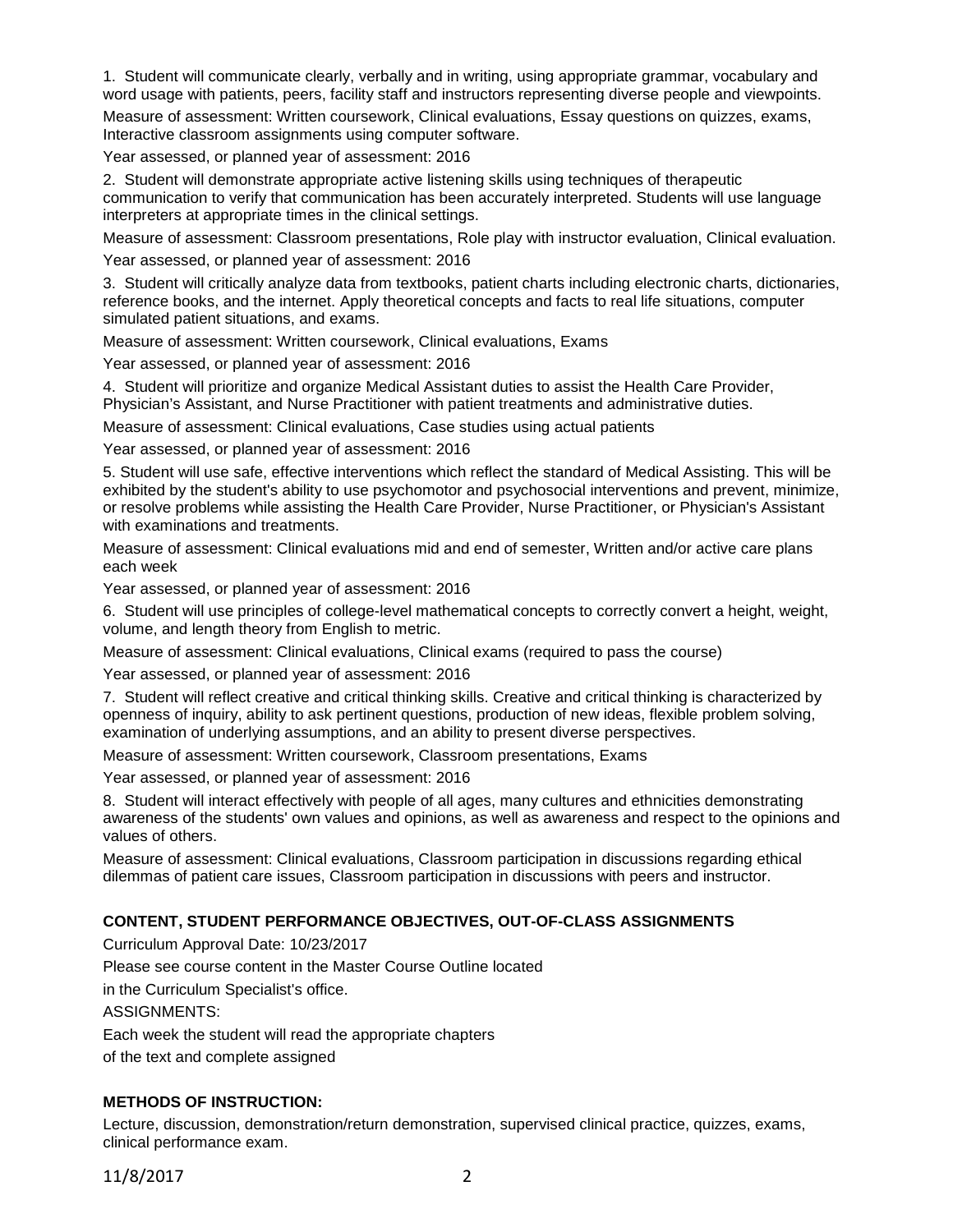1. Student will communicate clearly, verbally and in writing, using appropriate grammar, vocabulary and word usage with patients, peers, facility staff and instructors representing diverse people and viewpoints.

Measure of assessment: Written coursework, Clinical evaluations, Essay questions on quizzes, exams, Interactive classroom assignments using computer software.

Year assessed, or planned year of assessment: 2016

2. Student will demonstrate appropriate active listening skills using techniques of therapeutic communication to verify that communication has been accurately interpreted. Students will use language interpreters at appropriate times in the clinical settings.

Measure of assessment: Classroom presentations, Role play with instructor evaluation, Clinical evaluation.

Year assessed, or planned year of assessment: 2016

3. Student will critically analyze data from textbooks, patient charts including electronic charts, dictionaries, reference books, and the internet. Apply theoretical concepts and facts to real life situations, computer simulated patient situations, and exams.

Measure of assessment: Written coursework, Clinical evaluations, Exams

Year assessed, or planned year of assessment: 2016

4. Student will prioritize and organize Medical Assistant duties to assist the Health Care Provider, Physician's Assistant, and Nurse Practitioner with patient treatments and administrative duties.

Measure of assessment: Clinical evaluations, Case studies using actual patients

Year assessed, or planned year of assessment: 2016

5. Student will use safe, effective interventions which reflect the standard of Medical Assisting. This will be exhibited by the student's ability to use psychomotor and psychosocial interventions and prevent, minimize, or resolve problems while assisting the Health Care Provider, Nurse Practitioner, or Physician's Assistant with examinations and treatments.

Measure of assessment: Clinical evaluations mid and end of semester, Written and/or active care plans each week

Year assessed, or planned year of assessment: 2016

6. Student will use principles of college-level mathematical concepts to correctly convert a height, weight, volume, and length theory from English to metric.

Measure of assessment: Clinical evaluations, Clinical exams (required to pass the course)

Year assessed, or planned year of assessment: 2016

7. Student will reflect creative and critical thinking skills. Creative and critical thinking is characterized by openness of inquiry, ability to ask pertinent questions, production of new ideas, flexible problem solving, examination of underlying assumptions, and an ability to present diverse perspectives.

Measure of assessment: Written coursework, Classroom presentations, Exams

Year assessed, or planned year of assessment: 2016

8. Student will interact effectively with people of all ages, many cultures and ethnicities demonstrating awareness of the students' own values and opinions, as well as awareness and respect to the opinions and values of others.

Measure of assessment: Clinical evaluations, Classroom participation in discussions regarding ethical dilemmas of patient care issues, Classroom participation in discussions with peers and instructor.

#### **CONTENT, STUDENT PERFORMANCE OBJECTIVES, OUT-OF-CLASS ASSIGNMENTS**

Curriculum Approval Date: 10/23/2017

Please see course content in the Master Course Outline located

in the Curriculum Specialist's office.

ASSIGNMENTS:

Each week the student will read the appropriate chapters

of the text and complete assigned

#### **METHODS OF INSTRUCTION:**

Lecture, discussion, demonstration/return demonstration, supervised clinical practice, quizzes, exams, clinical performance exam.

11/8/2017 2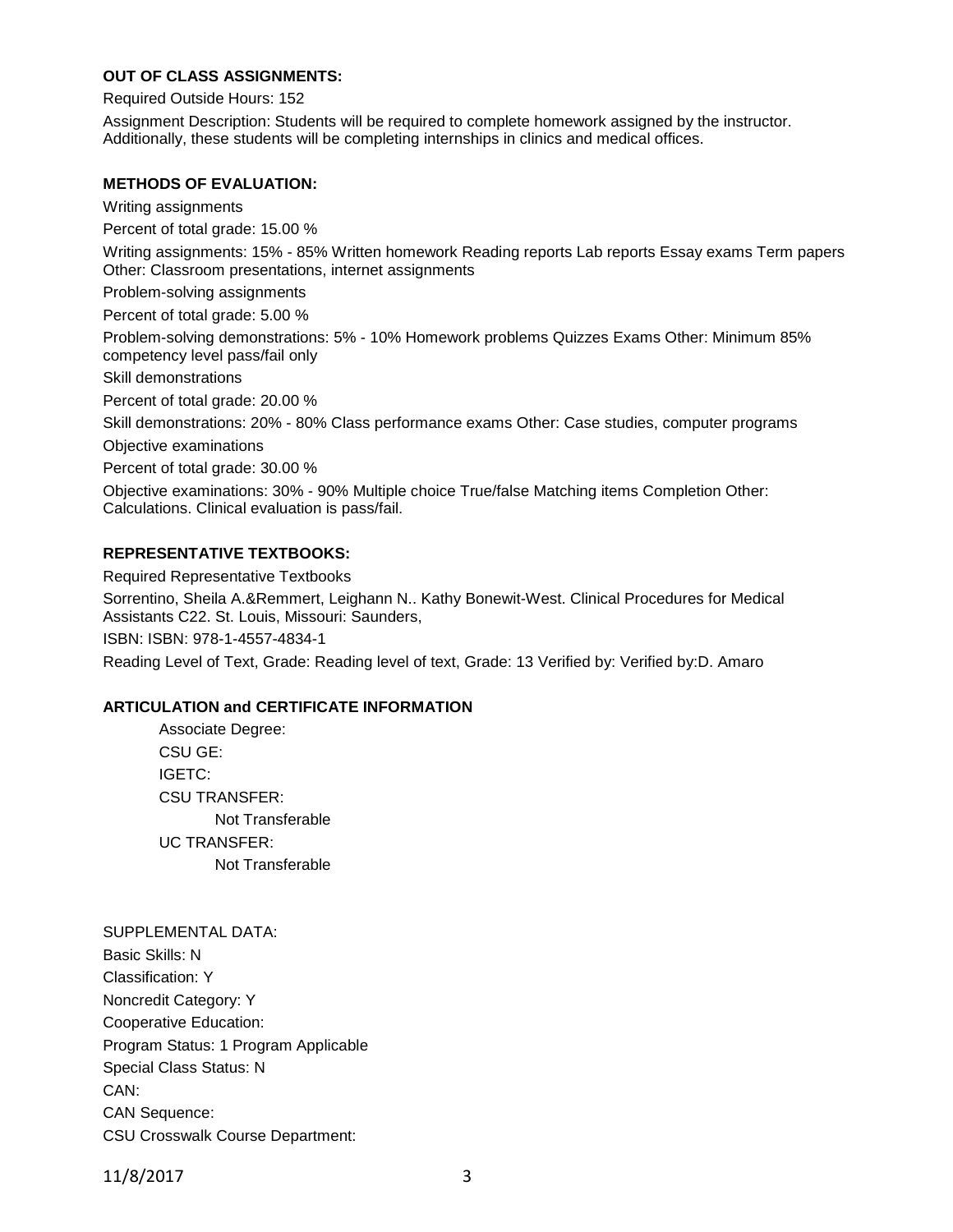# **OUT OF CLASS ASSIGNMENTS:**

Required Outside Hours: 152

Assignment Description: Students will be required to complete homework assigned by the instructor. Additionally, these students will be completing internships in clinics and medical offices.

#### **METHODS OF EVALUATION:**

Writing assignments

Percent of total grade: 15.00 %

Writing assignments: 15% - 85% Written homework Reading reports Lab reports Essay exams Term papers Other: Classroom presentations, internet assignments

Problem-solving assignments

Percent of total grade: 5.00 %

Problem-solving demonstrations: 5% - 10% Homework problems Quizzes Exams Other: Minimum 85% competency level pass/fail only

Skill demonstrations

Percent of total grade: 20.00 %

Skill demonstrations: 20% - 80% Class performance exams Other: Case studies, computer programs

Objective examinations

Percent of total grade: 30.00 %

Objective examinations: 30% - 90% Multiple choice True/false Matching items Completion Other: Calculations. Clinical evaluation is pass/fail.

## **REPRESENTATIVE TEXTBOOKS:**

Required Representative Textbooks Sorrentino, Sheila A.&Remmert, Leighann N.. Kathy Bonewit-West. Clinical Procedures for Medical Assistants C22. St. Louis, Missouri: Saunders,

ISBN: ISBN: 978-1-4557-4834-1

Reading Level of Text, Grade: Reading level of text, Grade: 13 Verified by: Verified by:D. Amaro

#### **ARTICULATION and CERTIFICATE INFORMATION**

Associate Degree: CSU GE: IGETC: CSU TRANSFER: Not Transferable UC TRANSFER: Not Transferable

SUPPLEMENTAL DATA: Basic Skills: N Classification: Y Noncredit Category: Y Cooperative Education: Program Status: 1 Program Applicable Special Class Status: N CAN: CAN Sequence: CSU Crosswalk Course Department:

11/8/2017 3